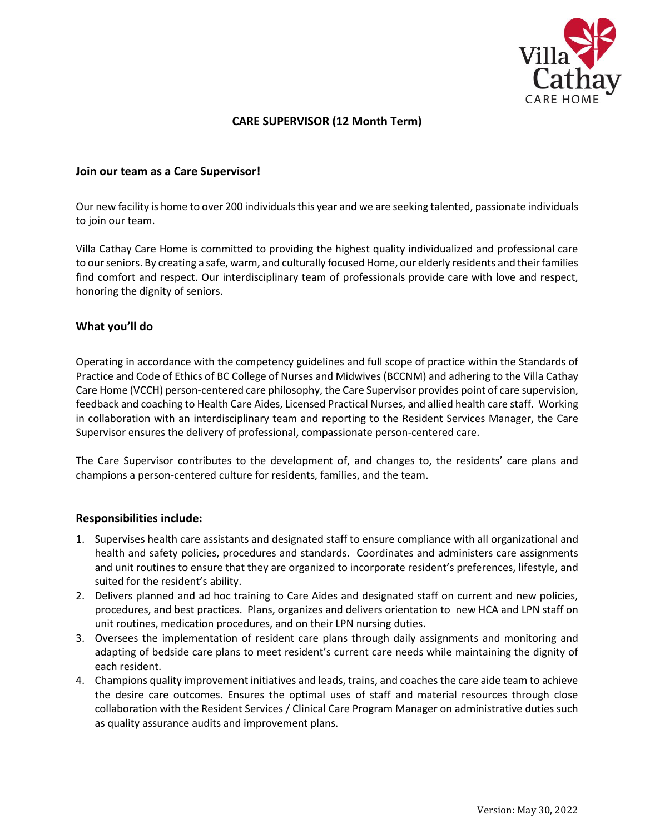

# **CARE SUPERVISOR (12 Month Term)**

### **Join our team as a Care Supervisor!**

Our new facility is home to over 200 individuals this year and we are seeking talented, passionate individuals to join our team.

Villa Cathay Care Home is committed to providing the highest quality individualized and professional care to our seniors. By creating a safe, warm, and culturally focused Home, our elderly residents and their families find comfort and respect. Our interdisciplinary team of professionals provide care with love and respect, honoring the dignity of seniors.

### **What you'll do**

Operating in accordance with the competency guidelines and full scope of practice within the Standards of Practice and Code of Ethics of BC College of Nurses and Midwives (BCCNM) and adhering to the Villa Cathay Care Home (VCCH) person-centered care philosophy, the Care Supervisor provides point of care supervision, feedback and coaching to Health Care Aides, Licensed Practical Nurses, and allied health care staff. Working in collaboration with an interdisciplinary team and reporting to the Resident Services Manager, the Care Supervisor ensures the delivery of professional, compassionate person-centered care.

The Care Supervisor contributes to the development of, and changes to, the residents' care plans and champions a person-centered culture for residents, families, and the team.

#### **Responsibilities include:**

- 1. Supervises health care assistants and designated staff to ensure compliance with all organizational and health and safety policies, procedures and standards. Coordinates and administers care assignments and unit routines to ensure that they are organized to incorporate resident's preferences, lifestyle, and suited for the resident's ability.
- 2. Delivers planned and ad hoc training to Care Aides and designated staff on current and new policies, procedures, and best practices. Plans, organizes and delivers orientation to new HCA and LPN staff on unit routines, medication procedures, and on their LPN nursing duties.
- 3. Oversees the implementation of resident care plans through daily assignments and monitoring and adapting of bedside care plans to meet resident's current care needs while maintaining the dignity of each resident.
- 4. Champions quality improvement initiatives and leads, trains, and coaches the care aide team to achieve the desire care outcomes. Ensures the optimal uses of staff and material resources through close collaboration with the Resident Services / Clinical Care Program Manager on administrative duties such as quality assurance audits and improvement plans.